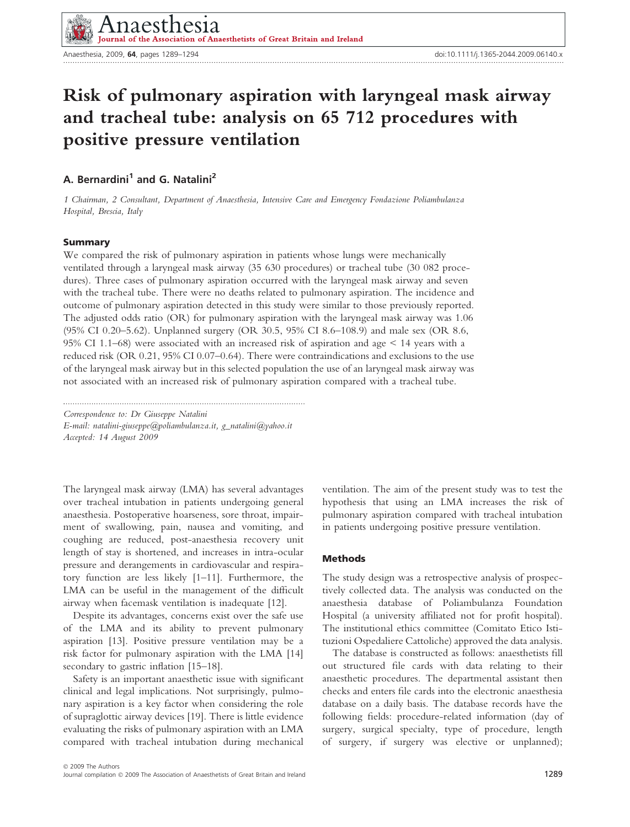# Risk of pulmonary aspiration with laryngeal mask airway and tracheal tube: analysis on 65 712 procedures with positive pressure ventilation

## A. Bernardini<sup>1</sup> and G. Natalini<sup>2</sup>

1 Chairman, 2 Consultant, Department of Anaesthesia, Intensive Care and Emergency Fondazione Poliambulanza Hospital, Brescia, Italy

## Summary

We compared the risk of pulmonary aspiration in patients whose lungs were mechanically ventilated through a laryngeal mask airway (35 630 procedures) or tracheal tube (30 082 procedures). Three cases of pulmonary aspiration occurred with the laryngeal mask airway and seven with the tracheal tube. There were no deaths related to pulmonary aspiration. The incidence and outcome of pulmonary aspiration detected in this study were similar to those previously reported. The adjusted odds ratio (OR) for pulmonary aspiration with the laryngeal mask airway was 1.06 (95% CI 0.20–5.62). Unplanned surgery (OR 30.5, 95% CI 8.6–108.9) and male sex (OR 8.6, 95% CI 1.1–68) were associated with an increased risk of aspiration and age < 14 years with a reduced risk (OR 0.21, 95% CI 0.07–0.64). There were contraindications and exclusions to the use of the laryngeal mask airway but in this selected population the use of an laryngeal mask airway was not associated with an increased risk of pulmonary aspiration compared with a tracheal tube.

Correspondence to: Dr Giuseppe Natalini E-mail: natalini-giuseppe@poliambulanza.it, g\_natalini@yahoo.it Accepted: 14 August 2009

.......................................................................................................

The laryngeal mask airway (LMA) has several advantages over tracheal intubation in patients undergoing general anaesthesia. Postoperative hoarseness, sore throat, impairment of swallowing, pain, nausea and vomiting, and coughing are reduced, post-anaesthesia recovery unit length of stay is shortened, and increases in intra-ocular pressure and derangements in cardiovascular and respiratory function are less likely [1–11]. Furthermore, the LMA can be useful in the management of the difficult airway when facemask ventilation is inadequate [12].

Despite its advantages, concerns exist over the safe use of the LMA and its ability to prevent pulmonary aspiration [13]. Positive pressure ventilation may be a risk factor for pulmonary aspiration with the LMA [14] secondary to gastric inflation [15–18].

Safety is an important anaesthetic issue with significant clinical and legal implications. Not surprisingly, pulmonary aspiration is a key factor when considering the role of supraglottic airway devices [19]. There is little evidence evaluating the risks of pulmonary aspiration with an LMA compared with tracheal intubation during mechanical

ventilation. The aim of the present study was to test the hypothesis that using an LMA increases the risk of pulmonary aspiration compared with tracheal intubation in patients undergoing positive pressure ventilation.

## Methods

The study design was a retrospective analysis of prospectively collected data. The analysis was conducted on the anaesthesia database of Poliambulanza Foundation Hospital (a university affiliated not for profit hospital). The institutional ethics committee (Comitato Etico Istituzioni Ospedaliere Cattoliche) approved the data analysis.

The database is constructed as follows: anaesthetists fill out structured file cards with data relating to their anaesthetic procedures. The departmental assistant then checks and enters file cards into the electronic anaesthesia database on a daily basis. The database records have the following fields: procedure-related information (day of surgery, surgical specialty, type of procedure, length of surgery, if surgery was elective or unplanned);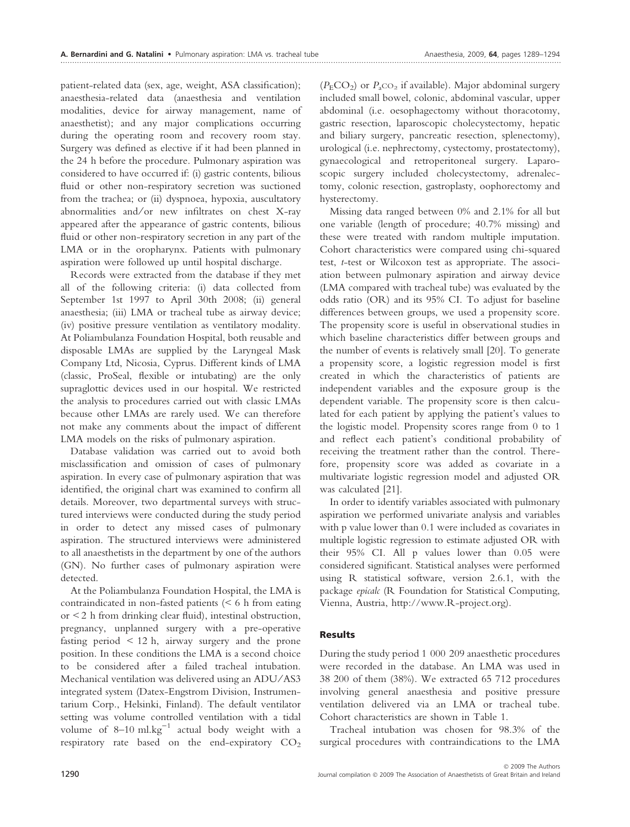patient-related data (sex, age, weight, ASA classification); anaesthesia-related data (anaesthesia and ventilation modalities, device for airway management, name of anaesthetist); and any major complications occurring during the operating room and recovery room stay. Surgery was defined as elective if it had been planned in the 24 h before the procedure. Pulmonary aspiration was considered to have occurred if: (i) gastric contents, bilious fluid or other non-respiratory secretion was suctioned from the trachea; or (ii) dyspnoea, hypoxia, auscultatory abnormalities and/or new infiltrates on chest X-ray appeared after the appearance of gastric contents, bilious fluid or other non-respiratory secretion in any part of the LMA or in the oropharynx. Patients with pulmonary aspiration were followed up until hospital discharge.

Records were extracted from the database if they met all of the following criteria: (i) data collected from September 1st 1997 to April 30th 2008; (ii) general anaesthesia; (iii) LMA or tracheal tube as airway device; (iv) positive pressure ventilation as ventilatory modality. At Poliambulanza Foundation Hospital, both reusable and disposable LMAs are supplied by the Laryngeal Mask Company Ltd, Nicosia, Cyprus. Different kinds of LMA (classic, ProSeal, flexible or intubating) are the only supraglottic devices used in our hospital. We restricted the analysis to procedures carried out with classic LMAs because other LMAs are rarely used. We can therefore not make any comments about the impact of different LMA models on the risks of pulmonary aspiration.

Database validation was carried out to avoid both misclassification and omission of cases of pulmonary aspiration. In every case of pulmonary aspiration that was identified, the original chart was examined to confirm all details. Moreover, two departmental surveys with structured interviews were conducted during the study period in order to detect any missed cases of pulmonary aspiration. The structured interviews were administered to all anaesthetists in the department by one of the authors (GN). No further cases of pulmonary aspiration were detected.

At the Poliambulanza Foundation Hospital, the LMA is contraindicated in non-fasted patients (< 6 h from eating or < 2 h from drinking clear fluid), intestinal obstruction, pregnancy, unplanned surgery with a pre-operative fasting period < 12 h, airway surgery and the prone position. In these conditions the LMA is a second choice to be considered after a failed tracheal intubation. Mechanical ventilation was delivered using an ADU/AS3 integrated system (Datex-Engstrom Division, Instrumentarium Corp., Helsinki, Finland). The default ventilator setting was volume controlled ventilation with a tidal volume of  $8-10$  ml.kg<sup>-1</sup> actual body weight with a respiratory rate based on the end-expiratory  $CO<sub>2</sub>$   $(P<sub>E</sub>CO<sub>2</sub>)$  or  $P<sub>a</sub>CO<sub>2</sub>$  if available). Major abdominal surgery included small bowel, colonic, abdominal vascular, upper abdominal (i.e. oesophagectomy without thoracotomy, gastric resection, laparoscopic cholecystectomy, hepatic and biliary surgery, pancreatic resection, splenectomy), urological (i.e. nephrectomy, cystectomy, prostatectomy), gynaecological and retroperitoneal surgery. Laparoscopic surgery included cholecystectomy, adrenalectomy, colonic resection, gastroplasty, oophorectomy and hysterectomy.

Missing data ranged between 0% and 2.1% for all but one variable (length of procedure; 40.7% missing) and these were treated with random multiple imputation. Cohort characteristics were compared using chi-squared test, t-test or Wilcoxon test as appropriate. The association between pulmonary aspiration and airway device (LMA compared with tracheal tube) was evaluated by the odds ratio (OR) and its 95% CI. To adjust for baseline differences between groups, we used a propensity score. The propensity score is useful in observational studies in which baseline characteristics differ between groups and the number of events is relatively small [20]. To generate a propensity score, a logistic regression model is first created in which the characteristics of patients are independent variables and the exposure group is the dependent variable. The propensity score is then calculated for each patient by applying the patient's values to the logistic model. Propensity scores range from 0 to 1 and reflect each patient's conditional probability of receiving the treatment rather than the control. Therefore, propensity score was added as covariate in a multivariate logistic regression model and adjusted OR was calculated [21].

In order to identify variables associated with pulmonary aspiration we performed univariate analysis and variables with p value lower than 0.1 were included as covariates in multiple logistic regression to estimate adjusted OR with their 95% CI. All p values lower than 0.05 were considered significant. Statistical analyses were performed using R statistical software, version 2.6.1, with the package epicalc (R Foundation for Statistical Computing, Vienna, Austria, http://www.R-project.org).

## Results

During the study period 1 000 209 anaesthetic procedures were recorded in the database. An LMA was used in 38 200 of them (38%). We extracted 65 712 procedures involving general anaesthesia and positive pressure ventilation delivered via an LMA or tracheal tube. Cohort characteristics are shown in Table 1.

Tracheal intubation was chosen for 98.3% of the surgical procedures with contraindications to the LMA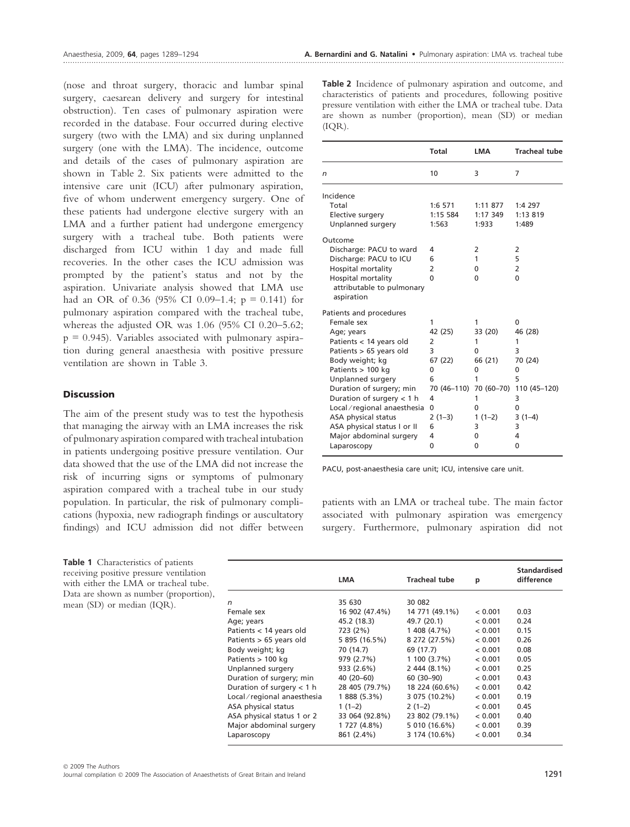(nose and throat surgery, thoracic and lumbar spinal surgery, caesarean delivery and surgery for intestinal obstruction). Ten cases of pulmonary aspiration were recorded in the database. Four occurred during elective surgery (two with the LMA) and six during unplanned surgery (one with the LMA). The incidence, outcome and details of the cases of pulmonary aspiration are shown in Table 2. Six patients were admitted to the intensive care unit (ICU) after pulmonary aspiration, five of whom underwent emergency surgery. One of these patients had undergone elective surgery with an LMA and a further patient had undergone emergency surgery with a tracheal tube. Both patients were discharged from ICU within 1 day and made full recoveries. In the other cases the ICU admission was prompted by the patient's status and not by the aspiration. Univariate analysis showed that LMA use had an OR of 0.36 (95% CI 0.09–1.4;  $p = 0.141$ ) for pulmonary aspiration compared with the tracheal tube, whereas the adjusted OR was 1.06 (95% CI 0.20–5.62;  $p = 0.945$ ). Variables associated with pulmonary aspiration during general anaesthesia with positive pressure ventilation are shown in Table 3.

## Discussion

The aim of the present study was to test the hypothesis that managing the airway with an LMA increases the risk of pulmonary aspiration compared with tracheal intubation in patients undergoing positive pressure ventilation. Our data showed that the use of the LMA did not increase the risk of incurring signs or symptoms of pulmonary aspiration compared with a tracheal tube in our study population. In particular, the risk of pulmonary complications (hypoxia, new radiograph findings or auscultatory findings) and ICU admission did not differ between

Table 1 Characteristics of patients receiving positive pressure ventilation with either the LMA or tracheal tube. Data are shown as number (proportion), mean (SD) or median (IQR).

Table 2 Incidence of pulmonary aspiration and outcome, and characteristics of patients and procedures, following positive pressure ventilation with either the LMA or tracheal tube. Data are shown as number (proportion), mean (SD) or median  $(IOR).$ 

|                                                               | <b>Total</b>   | <b>LMA</b>     | <b>Tracheal tube</b> |
|---------------------------------------------------------------|----------------|----------------|----------------------|
| n                                                             | 10             | 3              | 7                    |
| Incidence                                                     |                |                |                      |
| Total                                                         | 1:6 571        | 1:11 877       | 1:4 297              |
| Elective surgery                                              | 1:15.584       | 1:17 349       | 1:13 819             |
| Unplanned surgery                                             | 1:563          | 1:933          | 1:489                |
| Outcome                                                       |                |                |                      |
| Discharge: PACU to ward                                       | 4              | $\overline{2}$ | 2                    |
| Discharge: PACU to ICU                                        | 6              | 1              | 5                    |
| Hospital mortality                                            | $\overline{2}$ | 0              | 2                    |
| Hospital mortality<br>attributable to pulmonary<br>aspiration | n              | 0              | 0                    |
| Patients and procedures                                       |                |                |                      |
| Female sex                                                    | 1              | 1              | 0                    |
| Age; years                                                    | 42 (25)        | 33 (20)        | 46 (28)              |
| Patients < 14 years old                                       | 2              | 1              | 1                    |
| Patients > 65 years old                                       | 3              | 0              | 3                    |
| Body weight; kg                                               | 67 (22)        | 66 (21)        | 70 (24)              |
| Patients > 100 kg                                             | 0              | 0              | $\mathbf{0}$         |
| Unplanned surgery                                             | 6              | 1              | 5                    |
| Duration of surgery; min                                      | 70 (46-110)    | 70 (60-70)     | 110 (45-120)         |
| Duration of surgery $<$ 1 h                                   | 4              | 1              | 3                    |
| Local/regional anaesthesia                                    | $\mathbf{0}$   | 0              | $\mathbf{0}$         |
| ASA physical status                                           | $2(1-3)$       | $1(1-2)$       | $3(1-4)$             |
| ASA physical status I or II                                   | 6              | 3              | 3                    |
| Major abdominal surgery                                       | 4              | 0              | 4                    |
| Laparoscopy                                                   | 0              | $\Omega$       | $\Omega$             |

PACU, post-anaesthesia care unit; ICU, intensive care unit.

patients with an LMA or tracheal tube. The main factor associated with pulmonary aspiration was emergency surgery. Furthermore, pulmonary aspiration did not

|                             |                |                      |         | <b>Standardised</b> |
|-----------------------------|----------------|----------------------|---------|---------------------|
|                             | LMA            | <b>Tracheal tube</b> | р       | difference          |
| n                           | 35 630         | 30 082               |         |                     |
| Female sex                  | 16 902 (47.4%) | 14 771 (49.1%)       | < 0.001 | 0.03                |
| Age; years                  | 45.2 (18.3)    | 49.7 (20.1)          | < 0.001 | 0.24                |
| Patients $<$ 14 years old   | 723 (2%)       | 1 408 (4.7%)         | < 0.001 | 0.15                |
| Patients > 65 years old     | 5 895 (16.5%)  | 8 272 (27.5%)        | < 0.001 | 0.26                |
| Body weight; kg             | 70 (14.7)      | 69 (17.7)            | < 0.001 | 0.08                |
| Patients $> 100$ kg         | 979 (2.7%)     | 1 100 (3.7%)         | < 0.001 | 0.05                |
| Unplanned surgery           | 933 (2.6%)     | $2444(8.1\%)$        | < 0.001 | 0.25                |
| Duration of surgery; min    | 40 (20-60)     | $60(30-90)$          | < 0.001 | 0.43                |
| Duration of surgery $<$ 1 h | 28 405 (79.7%) | 18 224 (60.6%)       | < 0.001 | 0.42                |
| Local/regional anaesthesia  | 1 888 (5.3%)   | 3 075 (10.2%)        | < 0.001 | 0.19                |
| ASA physical status         | $1(1-2)$       | $2(1-2)$             | < 0.001 | 0.45                |
| ASA physical status 1 or 2  | 33 064 (92.8%) | 23 802 (79.1%)       | < 0.001 | 0.40                |
| Major abdominal surgery     | 1 727 (4.8%)   | 5 010 (16.6%)        | < 0.001 | 0.39                |
| Laparoscopy                 | 861 (2.4%)     | 3 174 (10.6%)        | < 0.001 | 0.34                |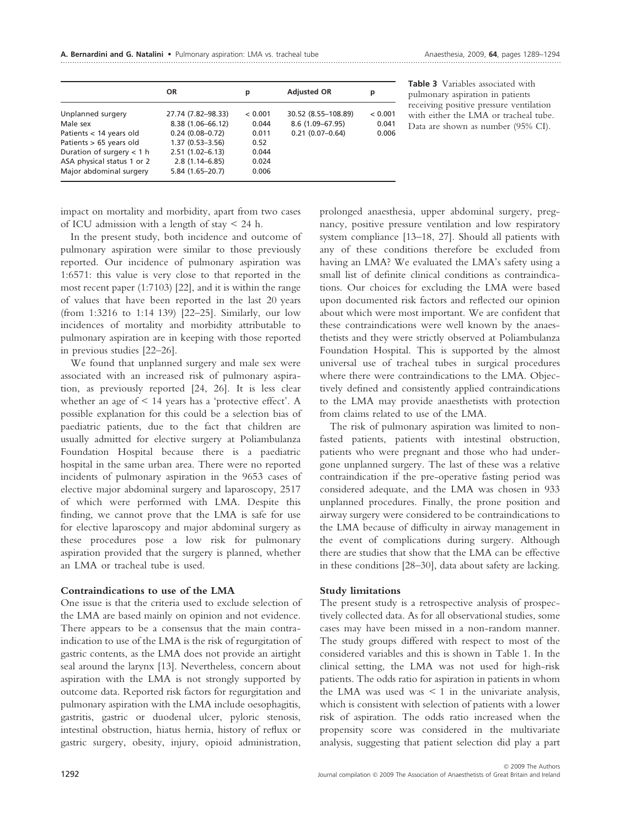|                             | OR                  | р       | <b>Adjusted OR</b>  | р       |
|-----------------------------|---------------------|---------|---------------------|---------|
| Unplanned surgery           | 27.74 (7.82-98.33)  | < 0.001 | 30.52 (8.55-108.89) | < 0.001 |
| Male sex                    | 8.38 (1.06-66.12)   | 0.044   | 8.6 (1.09-67.95)    | 0.041   |
| Patients < 14 years old     | $0.24(0.08-0.72)$   | 0.011   | $0.21(0.07-0.64)$   | 0.006   |
| Patients > 65 years old     | $1.37(0.53 - 3.56)$ | 0.52    |                     |         |
| Duration of surgery $<$ 1 h | $2.51(1.02 - 6.13)$ | 0.044   |                     |         |
| ASA physical status 1 or 2  | $2.8(1.14 - 6.85)$  | 0.024   |                     |         |
| Major abdominal surgery     | 5.84 (1.65-20.7)    | 0.006   |                     |         |

impact on mortality and morbidity, apart from two cases of ICU admission with a length of stay < 24 h.

In the present study, both incidence and outcome of pulmonary aspiration were similar to those previously reported. Our incidence of pulmonary aspiration was 1:6571: this value is very close to that reported in the most recent paper (1:7103) [22], and it is within the range of values that have been reported in the last 20 years (from 1:3216 to 1:14 139) [22–25]. Similarly, our low incidences of mortality and morbidity attributable to pulmonary aspiration are in keeping with those reported in previous studies [22–26].

We found that unplanned surgery and male sex were associated with an increased risk of pulmonary aspiration, as previously reported [24, 26]. It is less clear whether an age of  $\leq 14$  years has a 'protective effect'. A possible explanation for this could be a selection bias of paediatric patients, due to the fact that children are usually admitted for elective surgery at Poliambulanza Foundation Hospital because there is a paediatric hospital in the same urban area. There were no reported incidents of pulmonary aspiration in the 9653 cases of elective major abdominal surgery and laparoscopy, 2517 of which were performed with LMA. Despite this finding, we cannot prove that the LMA is safe for use for elective laparoscopy and major abdominal surgery as these procedures pose a low risk for pulmonary aspiration provided that the surgery is planned, whether an LMA or tracheal tube is used.

## Contraindications to use of the LMA

One issue is that the criteria used to exclude selection of the LMA are based mainly on opinion and not evidence. There appears to be a consensus that the main contraindication to use of the LMA is the risk of regurgitation of gastric contents, as the LMA does not provide an airtight seal around the larynx [13]. Nevertheless, concern about aspiration with the LMA is not strongly supported by outcome data. Reported risk factors for regurgitation and pulmonary aspiration with the LMA include oesophagitis, gastritis, gastric or duodenal ulcer, pyloric stenosis, intestinal obstruction, hiatus hernia, history of reflux or gastric surgery, obesity, injury, opioid administration, Table 3 Variables associated with pulmonary aspiration in patients receiving positive pressure ventilation with either the LMA or tracheal tube. Data are shown as number (95% CI).

prolonged anaesthesia, upper abdominal surgery, pregnancy, positive pressure ventilation and low respiratory system compliance [13–18, 27]. Should all patients with any of these conditions therefore be excluded from having an LMA? We evaluated the LMA's safety using a small list of definite clinical conditions as contraindications. Our choices for excluding the LMA were based upon documented risk factors and reflected our opinion about which were most important. We are confident that these contraindications were well known by the anaesthetists and they were strictly observed at Poliambulanza Foundation Hospital. This is supported by the almost universal use of tracheal tubes in surgical procedures where there were contraindications to the LMA. Objectively defined and consistently applied contraindications to the LMA may provide anaesthetists with protection from claims related to use of the LMA.

The risk of pulmonary aspiration was limited to nonfasted patients, patients with intestinal obstruction, patients who were pregnant and those who had undergone unplanned surgery. The last of these was a relative contraindication if the pre-operative fasting period was considered adequate, and the LMA was chosen in 933 unplanned procedures. Finally, the prone position and airway surgery were considered to be contraindications to the LMA because of difficulty in airway management in the event of complications during surgery. Although there are studies that show that the LMA can be effective in these conditions [28–30], data about safety are lacking.

#### Study limitations

The present study is a retrospective analysis of prospectively collected data. As for all observational studies, some cases may have been missed in a non-random manner. The study groups differed with respect to most of the considered variables and this is shown in Table 1. In the clinical setting, the LMA was not used for high-risk patients. The odds ratio for aspiration in patients in whom the LMA was used was  $\leq 1$  in the univariate analysis, which is consistent with selection of patients with a lower risk of aspiration. The odds ratio increased when the propensity score was considered in the multivariate analysis, suggesting that patient selection did play a part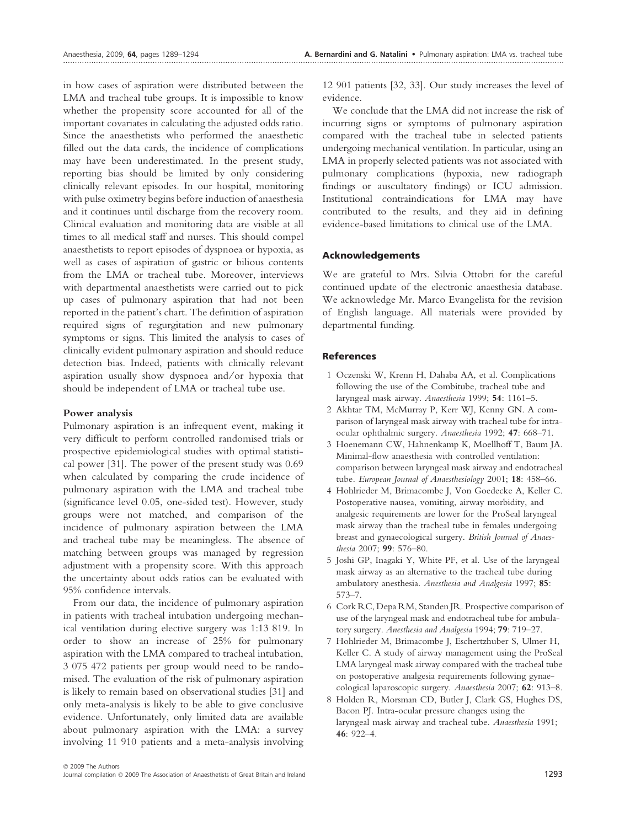in how cases of aspiration were distributed between the LMA and tracheal tube groups. It is impossible to know whether the propensity score accounted for all of the important covariates in calculating the adjusted odds ratio. Since the anaesthetists who performed the anaesthetic filled out the data cards, the incidence of complications may have been underestimated. In the present study, reporting bias should be limited by only considering clinically relevant episodes. In our hospital, monitoring with pulse oximetry begins before induction of anaesthesia and it continues until discharge from the recovery room. Clinical evaluation and monitoring data are visible at all times to all medical staff and nurses. This should compel anaesthetists to report episodes of dyspnoea or hypoxia, as well as cases of aspiration of gastric or bilious contents from the LMA or tracheal tube. Moreover, interviews with departmental anaesthetists were carried out to pick up cases of pulmonary aspiration that had not been reported in the patient's chart. The definition of aspiration required signs of regurgitation and new pulmonary symptoms or signs. This limited the analysis to cases of clinically evident pulmonary aspiration and should reduce detection bias. Indeed, patients with clinically relevant aspiration usually show dyspnoea and ⁄ or hypoxia that should be independent of LMA or tracheal tube use.

## Power analysis

Pulmonary aspiration is an infrequent event, making it very difficult to perform controlled randomised trials or prospective epidemiological studies with optimal statistical power [31]. The power of the present study was 0.69 when calculated by comparing the crude incidence of pulmonary aspiration with the LMA and tracheal tube (significance level 0.05, one-sided test). However, study groups were not matched, and comparison of the incidence of pulmonary aspiration between the LMA and tracheal tube may be meaningless. The absence of matching between groups was managed by regression adjustment with a propensity score. With this approach the uncertainty about odds ratios can be evaluated with 95% confidence intervals.

From our data, the incidence of pulmonary aspiration in patients with tracheal intubation undergoing mechanical ventilation during elective surgery was 1:13 819. In order to show an increase of 25% for pulmonary aspiration with the LMA compared to tracheal intubation, 3 075 472 patients per group would need to be randomised. The evaluation of the risk of pulmonary aspiration is likely to remain based on observational studies [31] and only meta-analysis is likely to be able to give conclusive evidence. Unfortunately, only limited data are available about pulmonary aspiration with the LMA: a survey involving 11 910 patients and a meta-analysis involving

12 901 patients [32, 33]. Our study increases the level of evidence.

We conclude that the LMA did not increase the risk of incurring signs or symptoms of pulmonary aspiration compared with the tracheal tube in selected patients undergoing mechanical ventilation. In particular, using an LMA in properly selected patients was not associated with pulmonary complications (hypoxia, new radiograph findings or auscultatory findings) or ICU admission. Institutional contraindications for LMA may have contributed to the results, and they aid in defining evidence-based limitations to clinical use of the LMA.

## Acknowledgements

We are grateful to Mrs. Silvia Ottobri for the careful continued update of the electronic anaesthesia database. We acknowledge Mr. Marco Evangelista for the revision of English language. All materials were provided by departmental funding.

## References

- 1 Oczenski W, Krenn H, Dahaba AA, et al. Complications following the use of the Combitube, tracheal tube and laryngeal mask airway. Anaesthesia 1999; 54: 1161–5.
- 2 Akhtar TM, McMurray P, Kerr WJ, Kenny GN. A comparison of laryngeal mask airway with tracheal tube for intraocular ophthalmic surgery. Anaesthesia 1992; 47: 668–71.
- 3 Hoenemann CW, Hahnenkamp K, Moellhoff T, Baum JA. Minimal-flow anaesthesia with controlled ventilation: comparison between laryngeal mask airway and endotracheal tube. European Journal of Anaesthesiology 2001; 18: 458–66.
- 4 Hohlrieder M, Brimacombe J, Von Goedecke A, Keller C. Postoperative nausea, vomiting, airway morbidity, and analgesic requirements are lower for the ProSeal laryngeal mask airway than the tracheal tube in females undergoing breast and gynaecological surgery. British Journal of Anaesthesia 2007; 99: 576–80.
- 5 Joshi GP, Inagaki Y, White PF, et al. Use of the laryngeal mask airway as an alternative to the tracheal tube during ambulatory anesthesia. Anesthesia and Analgesia 1997; 85: 573–7.
- 6 Cork RC, Depa RM, Standen JR. Prospective comparison of use of the laryngeal mask and endotracheal tube for ambulatory surgery. Anesthesia and Analgesia 1994; 79: 719–27.
- 7 Hohlrieder M, Brimacombe J, Eschertzhuber S, Ulmer H, Keller C. A study of airway management using the ProSeal LMA laryngeal mask airway compared with the tracheal tube on postoperative analgesia requirements following gynaecological laparoscopic surgery. Anaesthesia 2007; 62: 913–8.
- 8 Holden R, Morsman CD, Butler J, Clark GS, Hughes DS, Bacon PJ. Intra-ocular pressure changes using the laryngeal mask airway and tracheal tube. Anaesthesia 1991; 46: 922–4.